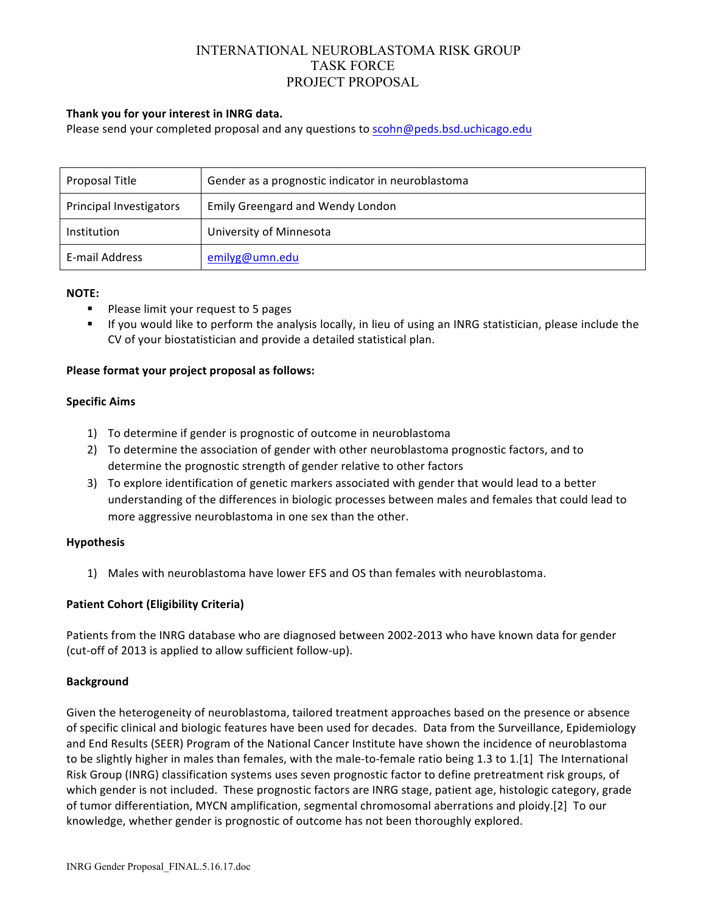# INTERNATIONAL NEUROBLASTOMA RISK GROUP TASK FORCE PROJECT PROPOSAL

## Thank you for your interest in INRG data.

Please send your completed proposal and any questions to scohn@peds.bsd.uchicago.edu

| Proposal Title          | Gender as a prognostic indicator in neuroblastoma |
|-------------------------|---------------------------------------------------|
| Principal Investigators | <b>Emily Greengard and Wendy London</b>           |
| Institution             | University of Minnesota                           |
| E-mail Address          | emilyg@umn.edu                                    |

#### **NOTE:**

- **•** Please limit your request to 5 pages
- If you would like to perform the analysis locally, in lieu of using an INRG statistician, please include the CV of your biostatistician and provide a detailed statistical plan.

### **Please format your project proposal as follows:**

#### **Specific Aims**

- 1) To determine if gender is prognostic of outcome in neuroblastoma
- 2) To determine the association of gender with other neuroblastoma prognostic factors, and to determine the prognostic strength of gender relative to other factors
- 3) To explore identification of genetic markers associated with gender that would lead to a better understanding of the differences in biologic processes between males and females that could lead to more aggressive neuroblastoma in one sex than the other.

## **Hypothesis**

1) Males with neuroblastoma have lower EFS and OS than females with neuroblastoma.

## **Patient Cohort (Eligibility Criteria)**

Patients from the INRG database who are diagnosed between 2002-2013 who have known data for gender (cut-off of 2013 is applied to allow sufficient follow-up).

#### **Background**

Given the heterogeneity of neuroblastoma, tailored treatment approaches based on the presence or absence of specific clinical and biologic features have been used for decades. Data from the Surveillance, Epidemiology and End Results (SEER) Program of the National Cancer Institute have shown the incidence of neuroblastoma to be slightly higher in males than females, with the male-to-female ratio being 1.3 to 1.[1] The International Risk Group (INRG) classification systems uses seven prognostic factor to define pretreatment risk groups, of which gender is not included. These prognostic factors are INRG stage, patient age, histologic category, grade of tumor differentiation, MYCN amplification, segmental chromosomal aberrations and ploidy.[2] To our knowledge, whether gender is prognostic of outcome has not been thoroughly explored.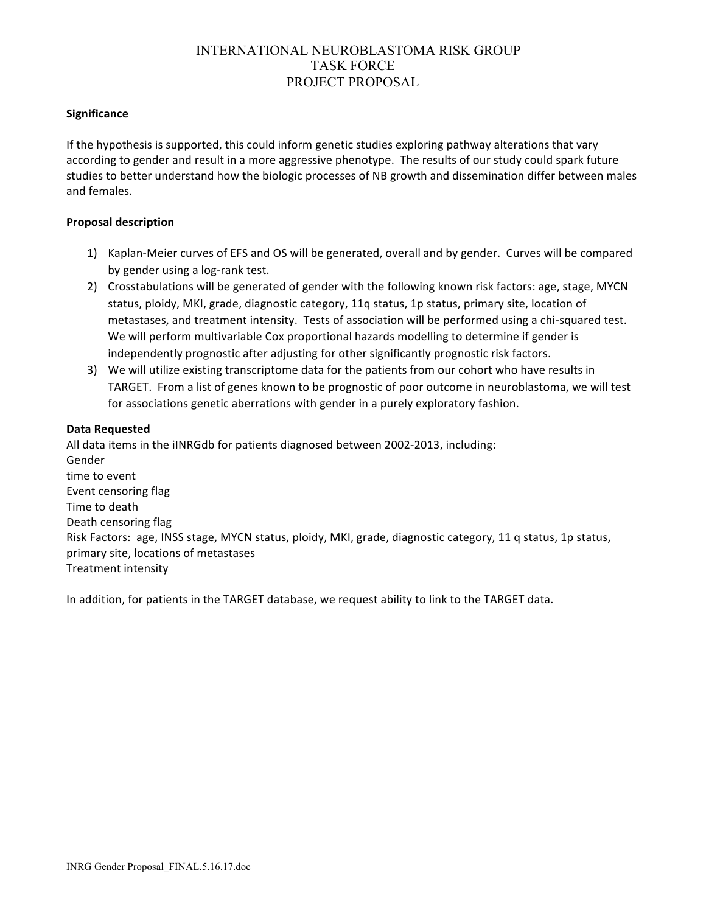# INTERNATIONAL NEUROBLASTOMA RISK GROUP TASK FORCE PROJECT PROPOSAL

### **Significance**

If the hypothesis is supported, this could inform genetic studies exploring pathway alterations that vary according to gender and result in a more aggressive phenotype. The results of our study could spark future studies to better understand how the biologic processes of NB growth and dissemination differ between males and females.

### **Proposal description**

- 1) Kaplan-Meier curves of EFS and OS will be generated, overall and by gender. Curves will be compared by gender using a log-rank test.
- 2) Crosstabulations will be generated of gender with the following known risk factors: age, stage, MYCN status, ploidy, MKI, grade, diagnostic category, 11q status, 1p status, primary site, location of metastases, and treatment intensity. Tests of association will be performed using a chi-squared test. We will perform multivariable Cox proportional hazards modelling to determine if gender is independently prognostic after adjusting for other significantly prognostic risk factors.
- 3) We will utilize existing transcriptome data for the patients from our cohort who have results in TARGET. From a list of genes known to be prognostic of poor outcome in neuroblastoma, we will test for associations genetic aberrations with gender in a purely exploratory fashion.

#### **Data Requested**

All data items in the iINRGdb for patients diagnosed between 2002-2013, including: Gender time to event Event censoring flag Time to death Death censoring flag Risk Factors: age, INSS stage, MYCN status, ploidy, MKI, grade, diagnostic category, 11 q status, 1p status, primary site, locations of metastases Treatment intensity

In addition, for patients in the TARGET database, we request ability to link to the TARGET data.